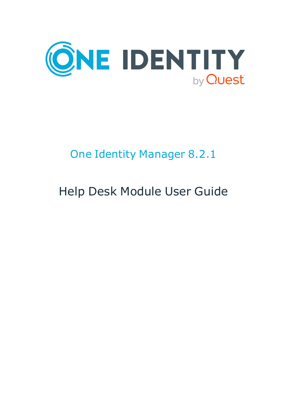

# One Identity Manager 8.2.1

# Help Desk Module User Guide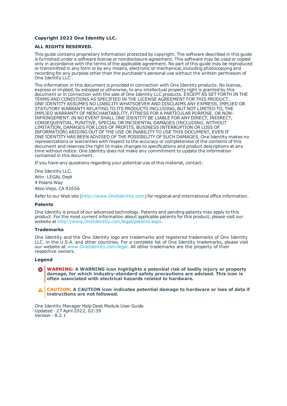#### **Copyright 2022 One Identity LLC.**

#### **ALL RIGHTS RESERVED.**

This guide contains proprietary information protected by copyright. The software described in this guide is furnished under a software license or nondisclosure agreement. This software may be used or copied only in accordance with the terms of the applicable agreement. No part of this guide may be reproduced or transmitted in any form or by any means, electronic or mechanical, including photocopying and recording for any purpose other than the purchaser's personal use without the written permission of One Identity LLC .

The information in this document is provided in connection with One Identity products. No license, express or implied, by estoppel or otherwise, to any intellectual property right is granted by this document or in connection with the sale of One Identity LLC products. EXCEPT AS SET FORTH IN THE TERMS AND CONDITIONS AS SPECIFIED IN THE LICENSE AGREEMENT FOR THIS PRODUCT, ONE IDENTITY ASSUMES NO LIABILITY WHATSOEVER AND DISCLAIMS ANY EXPRESS, IMPLIED OR STATUTORY WARRANTY RELATING TO ITS PRODUCTS INCLUDING, BUT NOT LIMITED TO, THE IMPLIED WARRANTY OF MERCHANTABILITY, FITNESS FOR A PARTICULAR PURPOSE, OR NON-INFRINGEMENT. IN NO EVENT SHALL ONE IDENTITY BE LIABLE FOR ANY DIRECT, INDIRECT, CONSEQUENTIAL, PUNITIVE, SPECIAL OR INCIDENTAL DAMAGES (INCLUDING, WITHOUT LIMITATION, DAMAGES FOR LOSS OF PROFITS, BUSINESS INTERRUPTION OR LOSS OF INFORMATION) ARISING OUT OF THE USE OR INABILITY TO USE THIS DOCUMENT, EVEN IF ONE IDENTITY HAS BEEN ADVISED OF THE POSSIBILITY OF SUCH DAMAGES. One Identity makes no representations or warranties with respect to the accuracy or completeness of the contents of this document and reserves the right to make changes to specifications and product descriptions at any time without notice. One Identity does not make any commitment to update the information contained in this document.

If you have any questions regarding your potential use of this material, contact:

One Identity LLC. Attn: LEGAL Dept 4 Polaris Way Aliso Viejo, CA 92656

Refer to our Web site ([http://www.OneIdentity.com](http://www.oneidentity.com/)) for regional and international office information.

#### **Patents**

One Identity is proud of our advanced technology. Patents and pending patents may apply to this product. For the most current information about applicable patents for this product, please visit our website at [http://www.OneIdentity.com/legal/patents.aspx](http://www.oneidentity.com/legal/patents.aspx).

#### **Trademarks**

One Identity and the One Identity logo are trademarks and registered trademarks of One Identity LLC. in the U.S.A. and other countries. For a complete list of One Identity trademarks, please visit our website at [www.OneIdentity.com/legal](http://www.oneidentity.com/legal). All other trademarks are the property of their respective owners.

#### **Legend**

**WARNING: A WARNING icon highlights a potential risk of bodily injury or property damage, for which industry-standard safety precautions are advised. This icon is often associated with electrical hazards related to hardware.**

**CAUTION: A CAUTION icon indicates potential damage to hardware or loss of data if** A **instructions are not followed.**

One Identity Manager Help Desk Module User Guide Updated - 27 April 2022, 02:39 Version - 8.2.1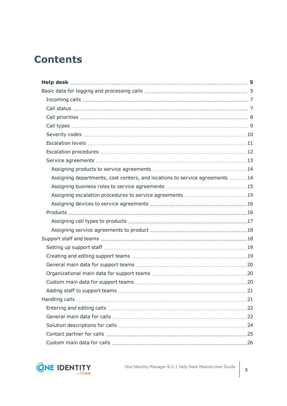# **Contents**

| Assigning departments, cost centers, and locations to service agreements 14 |  |
|-----------------------------------------------------------------------------|--|
|                                                                             |  |
|                                                                             |  |
|                                                                             |  |
|                                                                             |  |
|                                                                             |  |
|                                                                             |  |
|                                                                             |  |
|                                                                             |  |
|                                                                             |  |
|                                                                             |  |
|                                                                             |  |
|                                                                             |  |
|                                                                             |  |
|                                                                             |  |
|                                                                             |  |
|                                                                             |  |
|                                                                             |  |
|                                                                             |  |
|                                                                             |  |

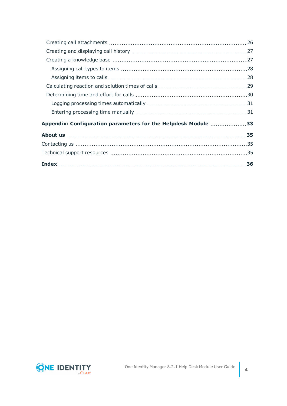| Appendix: Configuration parameters for the Helpdesk Module 33 |  |
|---------------------------------------------------------------|--|
|                                                               |  |
|                                                               |  |
|                                                               |  |
|                                                               |  |

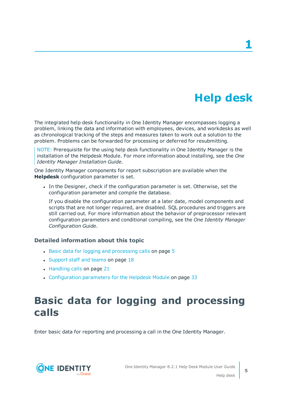# **Help desk**

<span id="page-4-0"></span>The integrated help desk functionality in One Identity Manager encompasses logging a problem, linking the data and information with employees, devices, and workdesks as well as chronological tracking of the steps and measures taken to work out a solution to the problem. Problems can be forwarded for processing or deferred for resubmitting.

NOTE: Prerequisite for the using help desk functionality in One Identity Manager is the installation of the Helpdesk Module. For more information about installing, see the *One Identity Manager Installation Guide*.

One Identity Manager components for report subscription are available when the **Helpdesk** configuration parameter is set.

In the Designer, check if the configuration parameter is set. Otherwise, set the configuration parameter and compile the database.

If you disable the configuration parameter at a later date, model components and scripts that are not longer required, are disabled. SQL procedures and triggers are still carried out. For more information about the behavior of preprocessor relevant configuration parameters and conditional compiling, see the *One Identity Manager Configuration Guide*.

### **Detailed information about this topic**

- $\cdot$  Basic data for logging and [processing](#page-4-1) calls on page  $5$
- [Support](#page-17-1) staff and teams on page 18
- [Handling](#page-20-1) calls on page 21
- [Configuration](#page-32-0) parameters for the Helpdesk Module on page 33

# <span id="page-4-1"></span>**Basic data for logging and processing calls**

Enter basic data for reporting and processing a call in the One Identity Manager.



**5**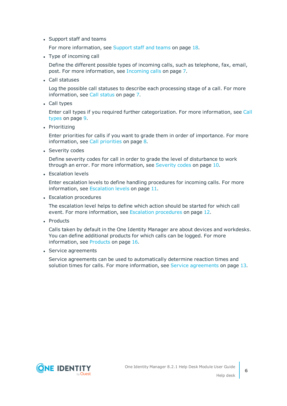• Support staff and teams

For more [information,](#page-17-1) see Support staff and teams on page 18.

• Type of incoming call

Define the different possible types of incoming calls, such as telephone, fax, email, post. For more [information,](#page-6-0) see Incoming calls on page 7.

• Call statuses

Log the possible call statuses to describe each processing stage of a call. For [more](#page-6-1) [information,](#page-6-1) see Call status on page 7.

• Call types

Enter call types if you required further categorization. For more [information,](#page-8-0) see Call [types](#page-8-0) on page 9.

• Prioritizing

Enter priorities for calls if you want to grade them in order of importance. For [more](#page-7-0) [information,](#page-7-0) see Call priorities on page 8.

• Severity codes

Define severity codes for call in order to grade the level of disturbance to work through an error. For more [information,](#page-9-0) see Severity codes on page 10.

• Escalation levels

Enter escalation levels to define handling procedures for incoming calls. For [more](#page-10-0) [information,](#page-10-0) see Escalation levels on page 11.

• Escalation procedures

The escalation level helps to define which action should be started for which call event. For more [information,](#page-11-0) see Escalation procedures on page 12.

• Products

Calls taken by default in the One Identity Manager are about devices and workdesks. You can define additional products for which calls can be logged. For [more](#page-15-1) [information,](#page-15-1) see Products on page 16.

• Service agreements

Service agreements can be used to automatically determine reaction times and solution times for calls. For more [information,](#page-12-0) see Service agreements on page 13.

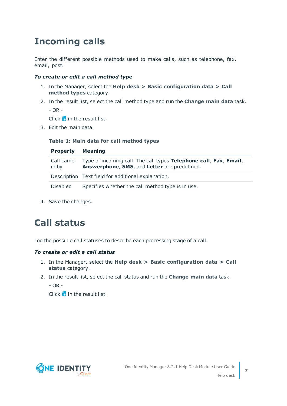# <span id="page-6-0"></span>**Incoming calls**

Enter the different possible methods used to make calls, such as telephone, fax, email, post.

### *To create or edit a call method type*

- 1. In the Manager, select the **Help desk > Basic configuration data > Call method types** category.
- 2. In the result list, select the call method type and run the **Change main data** task. - OR -

Click  $\mathbf{t}$  in the result list.

3. Edit the main data.

### **Table 1: Main data for call method types**

| <b>Property</b>    | Meaning                                                                                                           |
|--------------------|-------------------------------------------------------------------------------------------------------------------|
| Call came<br>in by | Type of incoming call. The call types Telephone call, Fax, Email,<br>Answerphone, SMS, and Letter are predefined. |
|                    | Description Text field for additional explanation.                                                                |
| Disabled           | Specifies whether the call method type is in use.                                                                 |

<span id="page-6-1"></span>4. Save the changes.

# **Call status**

Log the possible call statuses to describe each processing stage of a call.

### *To create or edit a call status*

- 1. In the Manager, select the **Help desk > Basic configuration data > Call status** category.
- 2. In the result list, select the call status and run the **Change main data** task.

 $-$  OR  $-$ 

 $Click$   $\frac{1}{4}$  in the result list.

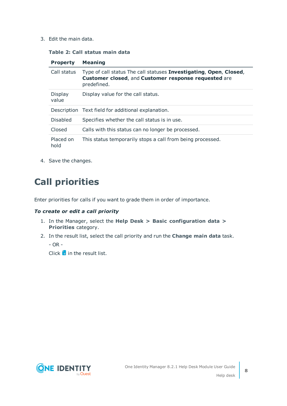### **Table 2: Call status main data**

| <b>Property</b>   | <b>Meaning</b>                                                                                                                            |
|-------------------|-------------------------------------------------------------------------------------------------------------------------------------------|
| Call status       | Type of call status The call statuses Investigating, Open, Closed,<br>Customer closed, and Customer response requested are<br>predefined. |
| Display<br>value  | Display value for the call status.                                                                                                        |
|                   | Description Text field for additional explanation.                                                                                        |
| <b>Disabled</b>   | Specifies whether the call status is in use.                                                                                              |
| Closed            | Calls with this status can no longer be processed.                                                                                        |
| Placed on<br>hold | This status temporarily stops a call from being processed.                                                                                |

<span id="page-7-0"></span>4. Save the changes.

# **Call priorities**

Enter priorities for calls if you want to grade them in order of importance.

### *To create or edit a call priority*

- 1. In the Manager, select the **Help Desk > Basic configuration data > Priorities** category.
- 2. In the result list, select the call priority and run the **Change main data** task.

- OR -

Click  $\mathbf{t}$  in the result list.

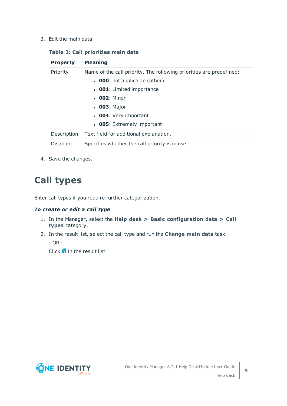### **Table 3: Call priorities main data**

| <b>Property</b>                                                                 | <b>Meaning</b>                                 |
|---------------------------------------------------------------------------------|------------------------------------------------|
| Priority<br>Name of the call priority. The following priorities are predefined: |                                                |
|                                                                                 | $\bullet$ 000: not applicable (other)          |
|                                                                                 | • <b>001</b> : Limited importance              |
|                                                                                 | $. 002:$ Minor                                 |
|                                                                                 | $\cdot$ 003: Major                             |
|                                                                                 | • 004: Very important                          |
|                                                                                 | • 005: Extremely important                     |
| Description                                                                     | Text field for additional explanation.         |
| <b>Disabled</b>                                                                 | Specifies whether the call priority is in use. |

<span id="page-8-0"></span>4. Save the changes.

# **Call types**

Enter call types if you require further categorization.

### *To create or edit a call type*

- 1. In the Manager, select the **Help desk > Basic configuration data > Call types** category.
- 2. In the result list, select the call type and run the **Change main data** task.

 $-$  OR  $-$ 

Click  $\mathbf{t}$  in the result list.

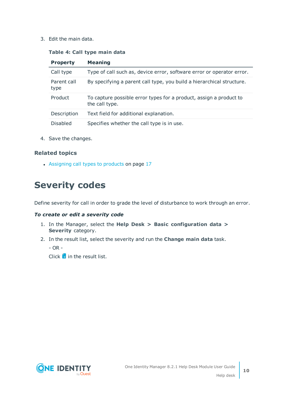### **Table 4: Call type main data**

| <b>Property</b>     | <b>Meaning</b>                                                                       |
|---------------------|--------------------------------------------------------------------------------------|
| Call type           | Type of call such as, device error, software error or operator error.                |
| Parent call<br>type | By specifying a parent call type, you build a hierarchical structure.                |
| Product             | To capture possible error types for a product, assign a product to<br>the call type. |
| Description         | Text field for additional explanation.                                               |
| <b>Disabled</b>     | Specifies whether the call type is in use.                                           |

4. Save the changes.

### **Related topics**

• [Assigning](#page-16-0) call types to products on page 17

# <span id="page-9-0"></span>**Severity codes**

Define severity for call in order to grade the level of disturbance to work through an error.

### *To create or edit a severity code*

- 1. In the Manager, select the **Help Desk > Basic configuration data > Severity** category.
- 2. In the result list, select the severity and run the **Change main data** task.

- OR -

 $Click$   $\frac{1}{2}$  in the result list.

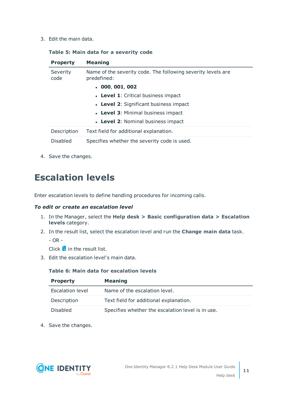### **Table 5: Main data for a severity code**

| <b>Property</b>  | <b>Meaning</b>                                                              |
|------------------|-----------------------------------------------------------------------------|
| Severity<br>code | Name of the severity code. The following severity levels are<br>predefined: |
|                  | . 000, 001, 002                                                             |
|                  | • Level 1: Critical business impact                                         |
|                  | • Level 2: Significant business impact                                      |
|                  | • Level 3: Minimal business impact                                          |
|                  | • Level 2: Nominal business impact                                          |
| Description      | Text field for additional explanation.                                      |
| <b>Disabled</b>  | Specifies whether the severity code is used.                                |

<span id="page-10-0"></span>4. Save the changes.

# **Escalation levels**

Enter escalation levels to define handling procedures for incoming calls.

### *To edit or create an escalation level*

- 1. In the Manager, select the **Help desk > Basic configuration data > Escalation levels** category.
- 2. In the result list, select the escalation level and run the **Change main data** task.
	- OR -

Click  $\frac{1}{x}$  in the result list.

3. Edit the escalation level's main data.

### **Table 6: Main data for escalation levels**

| <b>Property</b>  | <b>Meaning</b>                                    |
|------------------|---------------------------------------------------|
| Escalation level | Name of the escalation level.                     |
| Description      | Text field for additional explanation.            |
| <b>Disabled</b>  | Specifies whether the escalation level is in use. |

4. Save the changes.

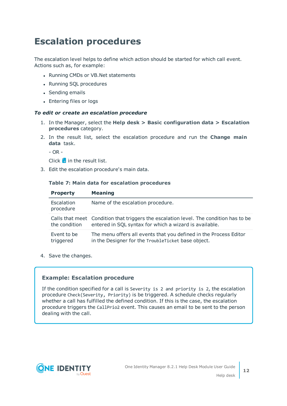# <span id="page-11-0"></span>**Escalation procedures**

The escalation level helps to define which action should be started for which call event. Actions such as, for example:

- Running CMDs or VB.Net statements
- Running SQL procedures
- Sending emails
- Entering files or logs

### *To edit or create an escalation procedure*

- 1. In the Manager, select the **Help desk > Basic configuration data > Escalation procedures** category.
- 2. In the result list, select the escalation procedure and run the **Change main data** task.

 $-$  OR  $-$ 

- Click  $\pm$  in the result list.
- 3. Edit the escalation procedure's main data.

#### **Table 7: Main data for escalation procedures**

| <b>Property</b>          | <b>Meaning</b>                                                                                                                                  |
|--------------------------|-------------------------------------------------------------------------------------------------------------------------------------------------|
| Escalation<br>procedure  | Name of the escalation procedure.                                                                                                               |
| the condition            | Calls that meet Condition that triggers the escalation level. The condition has to be<br>entered in SQL syntax for which a wizard is available. |
| Event to be<br>triggered | The menu offers all events that you defined in the Process Editor<br>in the Designer for the TroubleTicket base object.                         |

4. Save the changes.

### **Example: Escalation procedure**

If the condition specified for a call is Severity is 2 and priority is 2, the escalation procedure Check(Severity, Priority) is be triggered. A schedule checks regularly whether a call has fulfilled the defined condition. If this is the case, the escalation procedure triggers the CallPrio2 event. This causes an email to be sent to the person dealing with the call.

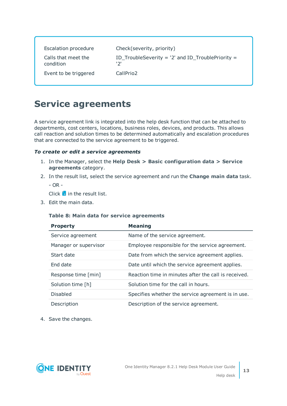| <b>Escalation procedure</b>      | Check(severity, priority)                                  |
|----------------------------------|------------------------------------------------------------|
| Calls that meet the<br>condition | ID_TroubleSeverity = $'2'$ and ID_TroublePriority =<br>יכי |
| Event to be triggered            | CallPrio <sub>2</sub>                                      |

### <span id="page-12-0"></span>**Service agreements**

A service agreement link is integrated into the help desk function that can be attached to departments, cost centers, locations, business roles, devices, and products. This allows call reaction and solution times to be determined automatically and escalation procedures that are connected to the service agreement to be triggered.

### *To create or edit a service agreements*

- 1. In the Manager, select the **Help Desk > Basic configuration data > Service agreements** category.
- 2. In the result list, select the service agreement and run the **Change main data** task.

- OR -

Click  $\mathbf{r}$  in the result list.

3. Edit the main data.

### **Table 8: Main data for service agreements**

| <b>Property</b>       | <b>Meaning</b>                                       |
|-----------------------|------------------------------------------------------|
| Service agreement     | Name of the service agreement.                       |
| Manager or supervisor | Employee responsible for the service agreement.      |
| Start date            | Date from which the service agreement applies.       |
| End date              | Date until which the service agreement applies.      |
| Response time [min]   | Reaction time in minutes after the call is received. |
| Solution time [h]     | Solution time for the call in hours.                 |
| <b>Disabled</b>       | Specifies whether the service agreement is in use.   |
| Description           | Description of the service agreement.                |

4. Save the changes.

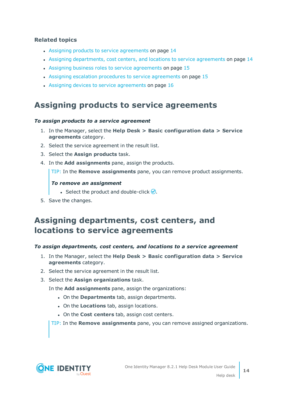### **Related topics**

- Assigning products to service [agreements](#page-13-0) on page 14
- Assigning [departments,](#page-13-1) cost centers, and locations to service agreements on page 14
- Assigning business roles to service [agreements](#page-14-0) on page 15
- Assigning escalation procedures to service [agreements](#page-14-1) on page  $15$
- Assigning devices to service [agreements](#page-15-0) on page 16

### <span id="page-13-0"></span>**Assigning products to service agreements**

### *To assign products to a service agreement*

- 1. In the Manager, select the **Help Desk > Basic configuration data > Service agreements** category.
- 2. Select the service agreement in the result list.
- 3. Select the **Assign products** task.
- 4. In the **Add assignments** pane, assign the products.

TIP: In the **Remove assignments** pane, you can remove product assignments.

### *To remove an assignment*

- Select the product and double-click  $\bigcirc$ .
- <span id="page-13-1"></span>5. Save the changes.

### **Assigning departments, cost centers, and locations to service agreements**

### *To assign departments, cost centers, and locations to a service agreement*

- 1. In the Manager, select the **Help Desk > Basic configuration data > Service agreements** category.
- 2. Select the service agreement in the result list.
- 3. Select the **Assign organizations** task.

In the **Add assignments** pane, assign the organizations:

- <sup>l</sup> On the **Departments** tab, assign departments.
- **.** On the **Locations** tab, assign locations.
- <sup>l</sup> On the **Cost centers** tab, assign cost centers.

TIP: In the **Remove assignments** pane, you can remove assigned organizations.

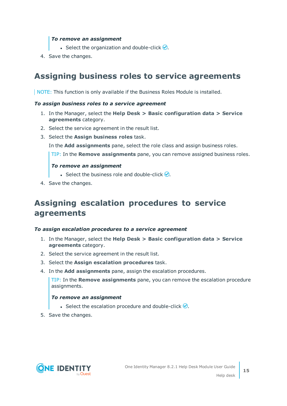### *To remove an assignment*

- **Select the organization and double-click**  $\bigcirc$ **.**
- <span id="page-14-0"></span>4. Save the changes.

### **Assigning business roles to service agreements**

NOTE: This function is only available if the Business Roles Module is installed.

### *To assign business roles to a service agreement*

- 1. In the Manager, select the **Help Desk > Basic configuration data > Service agreements** category.
- 2. Select the service agreement in the result list.
- 3. Select the **Assign business roles** task.

In the **Add assignments** pane, select the role class and assign business roles.

TIP: In the **Remove assignments** pane, you can remove assigned business roles.

### *To remove an assignment*

- **Select the business role and double-click .**
- <span id="page-14-1"></span>4. Save the changes.

### **Assigning escalation procedures to service agreements**

### *To assign escalation procedures to a service agreement*

- 1. In the Manager, select the **Help Desk > Basic configuration data > Service agreements** category.
- 2. Select the service agreement in the result list.
- 3. Select the **Assign escalation procedures** task.
- 4. In the **Add assignments** pane, assign the escalation procedures.

TIP: In the **Remove assignments** pane, you can remove the escalation procedure assignments.

### *To remove an assignment*

- **Select the escalation procedure and double-click**  $\bigcirc$ **.**
- 5. Save the changes.

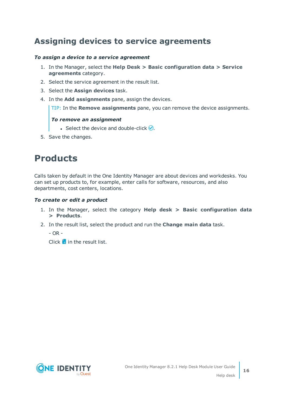### <span id="page-15-0"></span>**Assigning devices to service agreements**

### *To assign a device to a service agreement*

- 1. In the Manager, select the **Help Desk > Basic configuration data > Service agreements** category.
- 2. Select the service agreement in the result list.
- 3. Select the **Assign devices** task.
- 4. In the **Add assignments** pane, assign the devices.

TIP: In the **Remove assignments** pane, you can remove the device assignments.

### *To remove an assignment*

- **Select the device and double-click .**
- <span id="page-15-1"></span>5. Save the changes.

# **Products**

Calls taken by default in the One Identity Manager are about devices and workdesks. You can set up products to, for example, enter calls for software, resources, and also departments, cost centers, locations.

### *To create or edit a product*

- 1. In the Manager, select the category **Help desk > Basic configuration data > Products**.
- 2. In the result list, select the product and run the **Change main data** task.

- OR -

 $Click \frac{1}{4}$  in the result list.

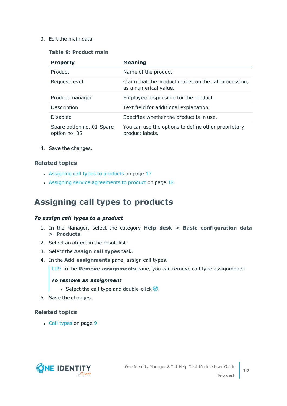### **Table 9: Product main**

| <b>Property</b>                            | <b>Meaning</b>                                                                |
|--------------------------------------------|-------------------------------------------------------------------------------|
| Product                                    | Name of the product.                                                          |
| Request level                              | Claim that the product makes on the call processing,<br>as a numerical value. |
| Product manager                            | Employee responsible for the product.                                         |
| Description                                | Text field for additional explanation.                                        |
| Disabled                                   | Specifies whether the product is in use.                                      |
| Spare option no. 01-Spare<br>option no. 05 | You can use the options to define other proprietary<br>product labels.        |

4. Save the changes.

### **Related topics**

- [Assigning](#page-16-0) call types to products on page 17
- Assigning service [agreements](#page-17-0) to product on page  $18$

### <span id="page-16-0"></span>**Assigning call types to products**

### *To assign call types to a product*

- 1. In the Manager, select the category **Help desk > Basic configuration data > Products**.
- 2. Select an object in the result list.
- 3. Select the **Assign call types** task.
- 4. In the **Add assignments** pane, assign call types.

TIP: In the **Remove assignments** pane, you can remove call type assignments.

### *To remove an assignment*

- Select the call type and double-click  $\bigcirc$ .
- 5. Save the changes.

### **Related topics**

• Call [types](#page-8-0) on page 9

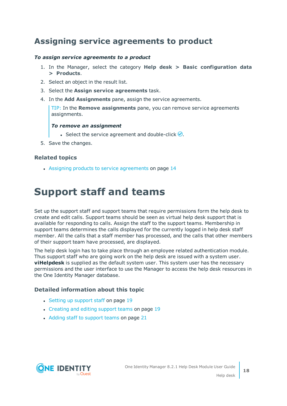### <span id="page-17-0"></span>**Assigning service agreements to product**

### *To assign service agreements to a product*

- 1. In the Manager, select the category **Help desk > Basic configuration data > Products**.
- 2. Select an object in the result list.
- 3. Select the **Assign service agreements** task.
- 4. In the **Add Assignments** pane, assign the service agreements.

TIP: In the **Remove assignments** pane, you can remove service agreements assignments.

### *To remove an assignment*

- **Select the service agreement and double-click**  $\odot$ **.**
- 5. Save the changes.

### **Related topics**

• Assigning products to service [agreements](#page-13-0) on page 14

# <span id="page-17-1"></span>**Support staff and teams**

Set up the support staff and support teams that require permissions form the help desk to create and edit calls. Support teams should be seen as virtual help desk support that is available for responding to calls. Assign the staff to the support teams. Membership in support teams determines the calls displayed for the currently logged in help desk staff member. All the calls that a staff member has processed, and the calls that other members of their support team have processed, are displayed.

The help desk login has to take place through an employee related authentication module. Thus support staff who are going work on the help desk are issued with a system user. **viHelpdesk** is supplied as the default system user. This system user has the necessary permissions and the user interface to use the Manager to access the help desk resources in the One Identity Manager database.

### **Detailed information about this topic**

- Setting up [support](#page-18-0) staff on page 19
- [Creating](#page-18-1) and editing support teams on page 19
- Adding staff to [support](#page-20-0) teams on page 21

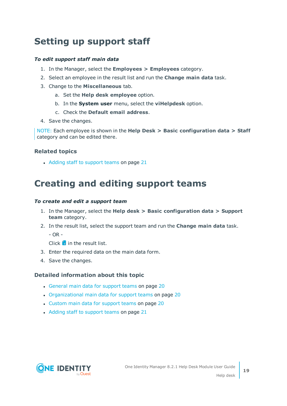# <span id="page-18-0"></span>**Setting up support staff**

### *To edit support staff main data*

- 1. In the Manager, select the **Employees > Employees** category.
- 2. Select an employee in the result list and run the **Change main data** task.
- 3. Change to the **Miscellaneous** tab.
	- a. Set the **Help desk employee** option.
	- b. In the **System user** menu, select the **viHelpdesk** option.
	- c. Check the **Default email address**.
- 4. Save the changes.

NOTE: Each employee is shown in the **Help Desk > Basic configuration data > Staff** category and can be edited there.

### **Related topics**

• Adding staff to [support](#page-20-0) teams on page 21

# <span id="page-18-1"></span>**Creating and editing support teams**

### *To create and edit a support team*

- 1. In the Manager, select the **Help desk > Basic configuration data > Support team** category.
- 2. In the result list, select the support team and run the **Change main data** task.

 $- OR -$ 

Click  $\pm$  in the result list.

- 3. Enter the required data on the main data form.
- 4. Save the changes.

### **Detailed information about this topic**

- [General](#page-19-0) main data for support teams on page 20
- [Organizational](#page-19-1) main data for support teams on page 20
- Custom main data for [support](#page-19-2) teams on page 20
- Adding staff to [support](#page-20-0) teams on page 21

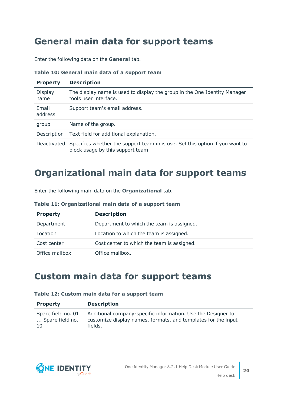# <span id="page-19-0"></span>**General main data for support teams**

Enter the following data on the **General** tab.

|  |  |  |  |  |  |  | Table 10: General main data of a support team |  |
|--|--|--|--|--|--|--|-----------------------------------------------|--|
|--|--|--|--|--|--|--|-----------------------------------------------|--|

| <b>Property</b>  | <b>Description</b>                                                                                                |  |
|------------------|-------------------------------------------------------------------------------------------------------------------|--|
| Display<br>name  | The display name is used to display the group in the One Identity Manager<br>tools user interface.                |  |
| Email<br>address | Support team's email address.                                                                                     |  |
| group            | Name of the group.                                                                                                |  |
| Description      | Text field for additional explanation.                                                                            |  |
| Deactivated      | Specifies whether the support team in is use. Set this option if you want to<br>block usage by this support team. |  |

### <span id="page-19-1"></span>**Organizational main data for support teams**

Enter the following main data on the **Organizational** tab.

| <b>Property</b> | <b>Description</b>                         |
|-----------------|--------------------------------------------|
| Department      | Department to which the team is assigned.  |
| Location        | Location to which the team is assigned.    |
| Cost center     | Cost center to which the team is assigned. |
| Office mailbox  | Office mailbox.                            |

## <span id="page-19-2"></span>**Custom main data for support teams**

|  |  |  |  |  |  |  | Table 12: Custom main data for a support team |  |
|--|--|--|--|--|--|--|-----------------------------------------------|--|
|--|--|--|--|--|--|--|-----------------------------------------------|--|

| <b>Property</b>    | <b>Description</b>                                            |
|--------------------|---------------------------------------------------------------|
| Spare field no. 01 | Additional company-specific information. Use the Designer to  |
| Spare field no.    | customize display names, formats, and templates for the input |
| 10                 | fields.                                                       |

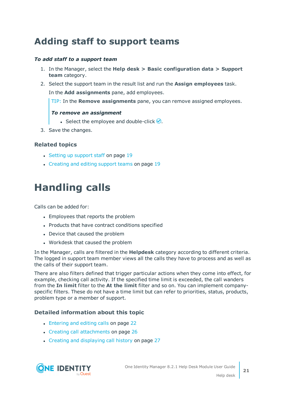# <span id="page-20-0"></span>**Adding staff to support teams**

### *To add staff to a support team*

- 1. In the Manager, select the **Help desk > Basic configuration data > Support team** category.
- 2. Select the support team in the result list and run the **Assign employees** task.

In the **Add assignments** pane, add employees.

TIP: In the **Remove assignments** pane, you can remove assigned employees.

### *To remove an assignment*

- Select the employee and double-click  $\bigcirc$ .
- 3. Save the changes.

### **Related topics**

- Setting up [support](#page-18-0) staff on page 19
- [Creating](#page-18-1) and editing support teams on page 19

# <span id="page-20-1"></span>**Handling calls**

Calls can be added for:

- Employees that reports the problem
- Products that have contract conditions specified
- Device that caused the problem
- Workdesk that caused the problem

In the Manager, calls are filtered in the **Helpdesk** category according to different criteria. The logged in support team member views all the calls they have to process and as well as the calls of their support team.

There are also filters defined that trigger particular actions when they come into effect, for example, checking call activity. If the specified time limit is exceeded, the call wanders from the **In limit** filter to the **At the limit** filter and so on. You can implement companyspecific filters. These do not have a time limit but can refer to priorities, status, products, problem type or a member of support.

### **Detailed information about this topic**

- [Entering](#page-21-0) and editing calls on page 22
- Creating call [attachments](#page-25-1) on page 26
- Creating and [displaying](#page-26-0) call history on page 27

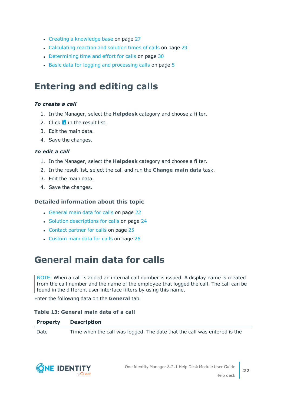- Creating a [knowledge](#page-26-1) base on page 27
- [Calculating](#page-28-0) reaction and solution times of calls on page 29
- [Determining](#page-29-0) time and effort for calls on page 30
- Basic data for logging and [processing](#page-4-1) calls on page 5

# <span id="page-21-0"></span>**Entering and editing calls**

### *To create a call*

- 1. In the Manager, select the **Helpdesk** category and choose a filter.
- 2. Click  $\frac{1}{2}$  in the result list.
- 3. Edit the main data.
- 4. Save the changes.

### *To edit a call*

- 1. In the Manager, select the **Helpdesk** category and choose a filter.
- 2. In the result list, select the call and run the **Change main data** task.
- 3. Edit the main data.
- 4. Save the changes.

### **Detailed information about this topic**

- [General](#page-21-1) main data for calls on page 22
- Solution [descriptions](#page-23-0) for calls on page 24
- [Contact](#page-24-0) partner for calls on page 25
- [Custom](#page-25-0) main data for calls on page 26

### <span id="page-21-1"></span>**General main data for calls**

NOTE: When a call is added an internal call number is issued. A display name is created from the call number and the name of the employee that logged the call. The call can be found in the different user interface filters by using this name.

Enter the following data on the **General** tab.

### **Table 13: General main data of a call**

### **Property Description**

Date Time when the call was logged. The date that the call was entered is the

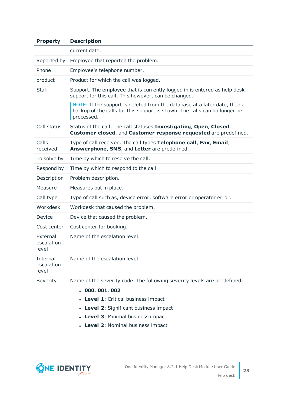| <b>Property</b>                 | <b>Description</b>                                                                                                                                                   |
|---------------------------------|----------------------------------------------------------------------------------------------------------------------------------------------------------------------|
|                                 | current date.                                                                                                                                                        |
| Reported by                     | Employee that reported the problem.                                                                                                                                  |
| Phone                           | Employee's telephone number.                                                                                                                                         |
| product                         | Product for which the call was logged.                                                                                                                               |
| <b>Staff</b>                    | Support. The employee that is currently logged in is entered as help desk<br>support for this call. This however, can be changed.                                    |
|                                 | NOTE: If the support is deleted from the database at a later date, then a<br>backup of the calls for this support is shown. The calls can no longer be<br>processed. |
| Call status                     | Status of the call. The call statuses Investigating, Open, Closed,<br>Customer closed, and Customer response requested are predefined.                               |
| Calls<br>received               | Type of call received. The call types Telephone call, Fax, Email,<br>Answerphone, SMS, and Letter are predefined.                                                    |
| To solve by                     | Time by which to resolve the call.                                                                                                                                   |
| Respond by                      | Time by which to respond to the call.                                                                                                                                |
| Description                     | Problem description.                                                                                                                                                 |
| Measure                         | Measures put in place.                                                                                                                                               |
| Call type                       | Type of call such as, device error, software error or operator error.                                                                                                |
| Workdesk                        | Workdesk that caused the problem.                                                                                                                                    |
| Device                          | Device that caused the problem.                                                                                                                                      |
| Cost center                     | Cost center for booking.                                                                                                                                             |
| External<br>escalation<br>level | Name of the escalation level.                                                                                                                                        |
| Internal<br>escalation<br>level | Name of the escalation level.                                                                                                                                        |
| Severity                        | Name of the severity code. The following severity levels are predefined:                                                                                             |
|                                 | . 000, 001, 002                                                                                                                                                      |
|                                 | • Level 1: Critical business impact                                                                                                                                  |
|                                 | • Level 2: Significant business impact                                                                                                                               |
|                                 | • Level 3: Minimal business impact                                                                                                                                   |
|                                 | • Level 2: Nominal business impact                                                                                                                                   |

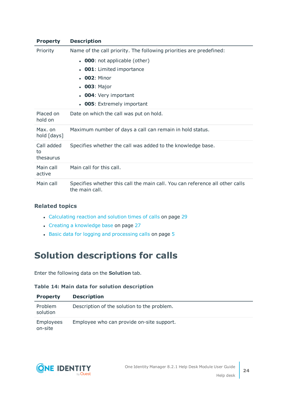| <b>Property</b>               | <b>Description</b>                                                                             |
|-------------------------------|------------------------------------------------------------------------------------------------|
| Priority                      | Name of the call priority. The following priorities are predefined:                            |
|                               | • 000: not applicable (other)                                                                  |
|                               | <b>001</b> : Limited importance<br>$\bullet$                                                   |
|                               | $. 002:$ Minor                                                                                 |
|                               | • 003: Major                                                                                   |
|                               | <b>004</b> : Very important                                                                    |
|                               | <b>005</b> : Extremely important<br>$\bullet$                                                  |
| Placed on<br>hold on          | Date on which the call was put on hold.                                                        |
| Max. on<br>hold [days]        | Maximum number of days a call can remain in hold status.                                       |
| Call added<br>to<br>thesaurus | Specifies whether the call was added to the knowledge base.                                    |
| Main call<br>active           | Main call for this call.                                                                       |
| Main call                     | Specifies whether this call the main call. You can reference all other calls<br>the main call. |

### **Related topics**

- [Calculating](#page-28-0) reaction and solution times of calls on page 29
- Creating a [knowledge](#page-26-1) base on page 27
- Basic data for logging and [processing](#page-4-1) calls on page  $5$

## <span id="page-23-0"></span>**Solution descriptions for calls**

Enter the following data on the **Solution** tab.

### **Table 14: Main data for solution description**

| <b>Property</b>      | <b>Description</b>                          |
|----------------------|---------------------------------------------|
| Problem<br>solution  | Description of the solution to the problem. |
| Employees<br>on-site | Employee who can provide on-site support.   |

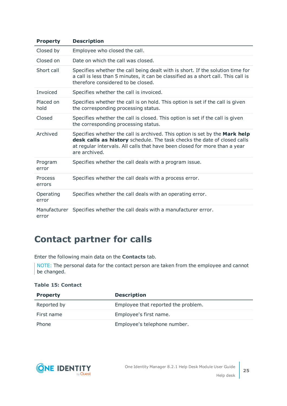| <b>Property</b>       | <b>Description</b>                                                                                                                                                                                                                                     |
|-----------------------|--------------------------------------------------------------------------------------------------------------------------------------------------------------------------------------------------------------------------------------------------------|
| Closed by             | Employee who closed the call.                                                                                                                                                                                                                          |
| Closed on             | Date on which the call was closed.                                                                                                                                                                                                                     |
| Short call            | Specifies whether the call being dealt with is short. If the solution time for<br>a call is less than 5 minutes, it can be classified as a short call. This call is<br>therefore considered to be closed.                                              |
| Invoiced              | Specifies whether the call is invoiced.                                                                                                                                                                                                                |
| Placed on<br>hold     | Specifies whether the call is on hold. This option is set if the call is given<br>the corresponding processing status.                                                                                                                                 |
| Closed                | Specifies whether the call is closed. This option is set if the call is given<br>the corresponding processing status.                                                                                                                                  |
| Archived              | Specifies whether the call is archived. This option is set by the Mark help<br>desk calls as history schedule. The task checks the date of closed calls<br>at regular intervals. All calls that have been closed for more than a year<br>are archived. |
| Program<br>error      | Specifies whether the call deals with a program issue.                                                                                                                                                                                                 |
| Process<br>errors     | Specifies whether the call deals with a process error.                                                                                                                                                                                                 |
| Operating<br>error    | Specifies whether the call deals with an operating error.                                                                                                                                                                                              |
| Manufacturer<br>error | Specifies whether the call deals with a manufacturer error.                                                                                                                                                                                            |

# <span id="page-24-0"></span>**Contact partner for calls**

Enter the following main data on the **Contacts** tab.

NOTE: The personal data for the contact person are taken from the employee and cannot be changed.

### **Table 15: Contact**

| <b>Property</b> | <b>Description</b>                  |
|-----------------|-------------------------------------|
| Reported by     | Employee that reported the problem. |
| First name      | Employee's first name.              |
| Phone           | Employee's telephone number.        |

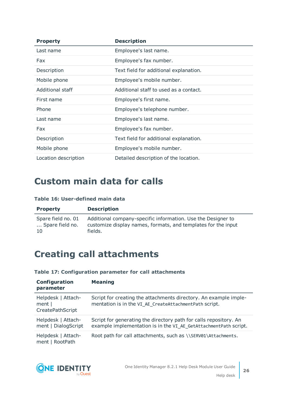| <b>Property</b>      | <b>Description</b>                     |
|----------------------|----------------------------------------|
| Last name            | Employee's last name.                  |
| Fax                  | Employee's fax number.                 |
| Description          | Text field for additional explanation. |
| Mobile phone         | Employee's mobile number.              |
| Additional staff     | Additional staff to used as a contact. |
| First name           | Employee's first name.                 |
| Phone                | Employee's telephone number.           |
| Last name            | Employee's last name.                  |
| Fax                  | Employee's fax number.                 |
| Description          | Text field for additional explanation. |
| Mobile phone         | Employee's mobile number.              |
| Location description | Detailed description of the location.  |

# <span id="page-25-0"></span>**Custom main data for calls**

### **Table 16: User-defined main data**

| <b>Property</b>    | <b>Description</b>                                            |
|--------------------|---------------------------------------------------------------|
| Spare field no. 01 | Additional company-specific information. Use the Designer to  |
| Spare field no.    | customize display names, formats, and templates for the input |
| <sup>10</sup>      | fields.                                                       |

# <span id="page-25-1"></span>**Creating call attachments**

### **Table 17: Configuration parameter for call attachments**

| Configuration<br>parameter                       | <b>Meaning</b>                                                                                                                        |
|--------------------------------------------------|---------------------------------------------------------------------------------------------------------------------------------------|
| Helpdesk   Attach-<br>ment  <br>CreatePathScript | Script for creating the attachments directory. An example imple-<br>mentation is in the VI_AE_CreateAttachmentPath script.            |
| Helpdesk   Attach-<br>ment   DialogScript        | Script for generating the directory path for calls repository. An<br>example implementation is in the VI AE GetAttachmentPath script. |
| Helpdesk   Attach-<br>ment   RootPath            | Root path for call attachments, such as \\SERV01\Attachments.                                                                         |

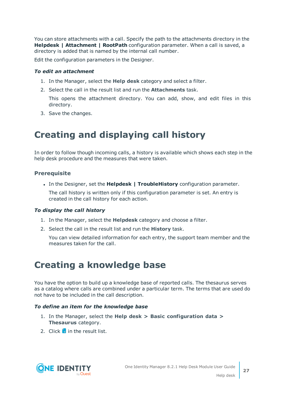You can store attachments with a call. Specify the path to the attachments directory in the **Helpdesk | Attachment | RootPath** configuration parameter. When a call is saved, a directory is added that is named by the internal call number.

Edit the configuration parameters in the Designer.

### *To edit an attachment*

- 1. In the Manager, select the **Help desk** category and select a filter.
- 2. Select the call in the result list and run the **Attachments** task.

This opens the attachment directory. You can add, show, and edit files in this directory.

<span id="page-26-0"></span>3. Save the changes.

# **Creating and displaying call history**

In order to follow though incoming calls, a history is available which shows each step in the help desk procedure and the measures that were taken.

### **Prerequisite**

<sup>l</sup> In the Designer, set the **Helpdesk | TroubleHistory** configuration parameter.

The call history is written only if this configuration parameter is set. An entry is created in the call history for each action.

### *To display the call history*

- 1. In the Manager, select the **Helpdesk** category and choose a filter.
- 2. Select the call in the result list and run the **History** task.

You can view detailed information for each entry, the support team member and the measures taken for the call.

# <span id="page-26-1"></span>**Creating a knowledge base**

You have the option to build up a knowledge base of reported calls. The thesaurus serves as a catalog where calls are combined under a particular term. The terms that are used do not have to be included in the call description.

### *To define an item for the knowledge base*

- 1. In the Manager, select the **Help desk > Basic configuration data > Thesaurus** category.
- 2. Click  $\mathbf{r}$  in the result list.

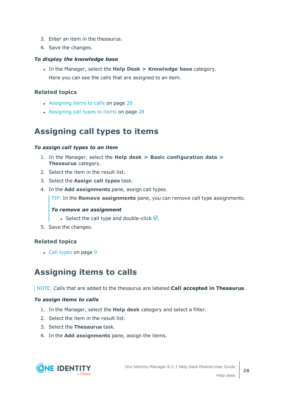- 3. Enter an item in the thesaurus.
- 4. Save the changes.

### *To display the knowledge base*

<sup>l</sup> In the Manager, select the **Help Desk > Knowledge base** category. Here you can see the calls that are assigned to an item.

### **Related topics**

- [Assigning](#page-27-1) items to calls on page 28
- [Assigning](#page-27-0) call types to items on page 28

### <span id="page-27-0"></span>**Assigning call types to items**

### *To assign call types to an item*

- 1. In the Manager, select the **Help desk > Basic configuration data > Thesaurus** category.
- 2. Select the item in the result list.
- 3. Select the **Assign call types** task.
- 4. In the **Add assignments** pane, assign call types.

TIP: In the **Remove assignments** pane, you can remove call type assignments.

### *To remove an assignment*

- Select the call type and double-click  $\odot$ .
- 5. Save the changes.

### **Related topics**

• Call [types](#page-8-0) on page 9

### <span id="page-27-1"></span>**Assigning items to calls**

NOTE: Calls that are added to the thesaurus are labeled **Call accepted in Thesaurus**.

### *To assign items to calls*

- 1. In the Manager, select the **Help desk** category and select a filter.
- 2. Select the item in the result list.
- 3. Select the **Thesaurus** task.
- 4. In the **Add assignments** pane, assign the items.

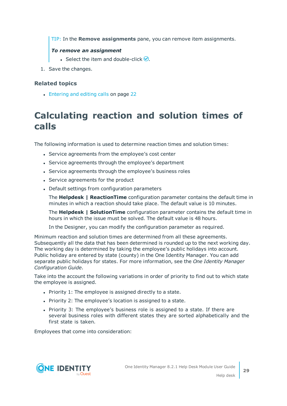TIP: In the **Remove assignments** pane, you can remove item assignments.

### *To remove an assignment*

- Select the item and double-click  $\bigcirc$ .
- 1. Save the changes.

### **Related topics**

• [Entering](#page-21-0) and editing calls on page 22

# <span id="page-28-0"></span>**Calculating reaction and solution times of calls**

The following information is used to determine reaction times and solution times:

- Service agreements from the employee's cost center
- Service agreements through the employee's department
- Service agreements through the employee's business roles
- Service agreements for the product
- Default settings from configuration parameters

The **Helpdesk | ReactionTime** configuration parameter contains the default time in minutes in which a reaction should take place. The default value is 10 minutes.

The **Helpdesk | SolutionTime** configuration parameter contains the default time in hours in which the issue must be solved. The default value is 48 hours.

In the Designer, you can modify the configuration parameter as required.

Minimum reaction and solution times are determined from all these agreements. Subsequently all the data that has been determined is rounded up to the next working day. The working day is determined by taking the employee's public holidays into account. Public holiday are entered by state (county) in the One Identity Manager. You can add separate public holidays for states. For more information, see the *One Identity Manager Configuration Guide*.

Take into the account the following variations in order of priority to find out to which state the employee is assigned.

- Priority 1: The employee is assigned directly to a state.
- Priority 2: The employee's location is assigned to a state.
- Priority 3: The employee's business role is assigned to a state. If there are several business roles with different states they are sorted alphabetically and the first state is taken.

Employees that come into consideration:

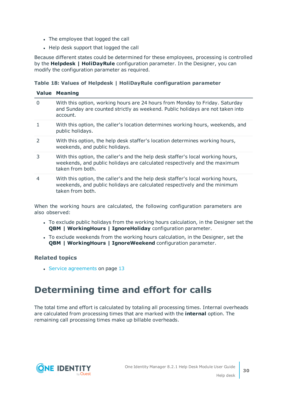- The employee that logged the call
- Help desk support that logged the call

Because different states could be determined for these employees, processing is controlled by the **Helpdesk | HoliDayRule** configuration parameter. In the Designer, you can modify the configuration parameter as required.

### **Table 18: Values of Helpdesk | HoliDayRule configuration parameter**

| <b>Value</b>   | <b>Meaning</b>                                                                                                                                                                   |
|----------------|----------------------------------------------------------------------------------------------------------------------------------------------------------------------------------|
| $\Omega$       | With this option, working hours are 24 hours from Monday to Friday. Saturday<br>and Sunday are counted strictly as weekend. Public holidays are not taken into<br>account.       |
|                | With this option, the caller's location determines working hours, weekends, and<br>public holidays.                                                                              |
| $\overline{2}$ | With this option, the help desk staffer's location determines working hours,<br>weekends, and public holidays.                                                                   |
| 3              | With this option, the caller's and the help desk staffer's local working hours,<br>weekends, and public holidays are calculated respectively and the maximum<br>taken from both. |
| 4              | With this option, the caller's and the help desk staffer's local working hours,<br>weekends, and public holidays are calculated respectively and the minimum<br>taken from both. |

When the working hours are calculated, the following configuration parameters are also observed:

- To exclude public holidays from the working hours calculation, in the Designer set the **QBM | WorkingHours | IgnoreHoliday** configuration parameter.
- To exclude weekends from the working hours calculation, in the Designer, set the **QBM | WorkingHours | IgnoreWeekend** configuration parameter.

### **Related topics**

• Service [agreements](#page-12-0) on page 13

# <span id="page-29-0"></span>**Determining time and effort for calls**

The total time and effort is calculated by totaling all processing times. Internal overheads are calculated from processing times that are marked with the **internal** option. The remaining call processing times make up billable overheads.

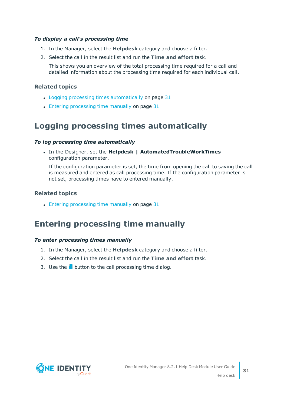### *To display a call's processing time*

- 1. In the Manager, select the **Helpdesk** category and choose a filter.
- 2. Select the call in the result list and run the **Time and effort** task.

This shows you an overview of the total processing time required for a call and detailed information about the processing time required for each individual call.

### **Related topics**

- Logging processing times [automatically](#page-30-0) on page 31
- <span id="page-30-0"></span>• Entering [processing](#page-30-1) time manually on page 31

### **Logging processing times automatically**

### *To log processing time automatically*

<sup>l</sup> In the Designer, set the **Helpdesk | AutomatedTroubleWorkTimes** configuration parameter.

If the configuration parameter is set, the time from opening the call to saving the call is measured and entered as call processing time. If the configuration parameter is not set, processing times have to entered manually.

### **Related topics**

 $\bullet$  Entering [processing](#page-30-1) time manually on page 31

### <span id="page-30-1"></span>**Entering processing time manually**

### *To enter processing times manually*

- 1. In the Manager, select the **Helpdesk** category and choose a filter.
- 2. Select the call in the result list and run the **Time and effort** task.
- 3. Use the  $\frac{1}{2}$  button to the call processing time dialog.

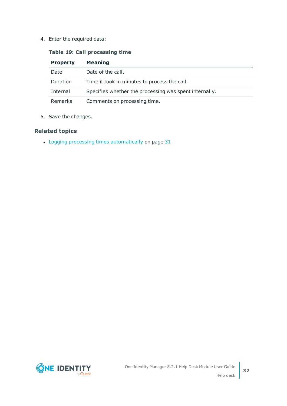4. Enter the required data:

### **Table 19: Call processing time**

| <b>Property</b> | <b>Meaning</b>                                         |
|-----------------|--------------------------------------------------------|
| Date            | Date of the call.                                      |
| Duration        | Time it took in minutes to process the call.           |
| Internal        | Specifies whether the processing was spent internally. |
| Remarks         | Comments on processing time.                           |

5. Save the changes.

### **Related topics**

• Logging processing times [automatically](#page-30-0) on page 31

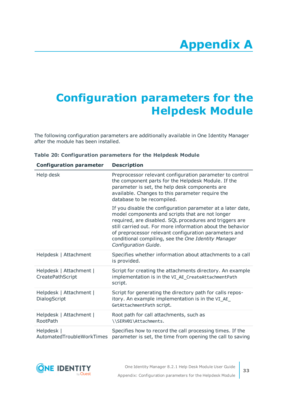# **Appendix A**

# <span id="page-32-0"></span>**Appendix:Configuration parameters for the Helpdesk Module**

The following configuration parameters are additionally available in One Identity Manager after the module has been installed.

| <b>Configuration parameter</b>              | <b>Description</b>                                                                                                                                                                                                                                                                                                                                                               |
|---------------------------------------------|----------------------------------------------------------------------------------------------------------------------------------------------------------------------------------------------------------------------------------------------------------------------------------------------------------------------------------------------------------------------------------|
| Help desk                                   | Preprocessor relevant configuration parameter to control<br>the component parts for the Helpdesk Module. If the<br>parameter is set, the help desk components are<br>available. Changes to this parameter require the<br>database to be recompiled.                                                                                                                              |
|                                             | If you disable the configuration parameter at a later date,<br>model components and scripts that are not longer<br>required, are disabled. SQL procedures and triggers are<br>still carried out. For more information about the behavior<br>of preprocessor relevant configuration parameters and<br>conditional compiling, see the One Identity Manager<br>Configuration Guide. |
| Helpdesk   Attachment                       | Specifies whether information about attachments to a call<br>is provided.                                                                                                                                                                                                                                                                                                        |
| Helpdesk   Attachment  <br>CreatePathScript | Script for creating the attachments directory. An example<br>implementation is in the VI_AE_CreateAttachmentPath<br>script.                                                                                                                                                                                                                                                      |
| Helpdesk   Attachment  <br>DialogScript     | Script for generating the directory path for calls repos-<br>itory. An example implementation is in the VI_AE_<br>GetAttachmentPath script.                                                                                                                                                                                                                                      |
| Helpdesk   Attachment  <br><b>RootPath</b>  | Root path for call attachments, such as<br>\\SERV01\Attachments.                                                                                                                                                                                                                                                                                                                 |
| Helpdesk  <br>AutomatedTroubleWorkTimes     | Specifies how to record the call processing times. If the<br>parameter is set, the time from opening the call to saving                                                                                                                                                                                                                                                          |

### **Table 20: Configuration parameters for the Helpdesk Module**

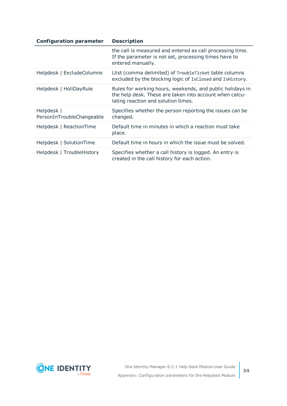| <b>Configuration parameter</b>          | <b>Description</b>                                                                                                                                          |
|-----------------------------------------|-------------------------------------------------------------------------------------------------------------------------------------------------------------|
|                                         | the call is measured and entered as call processing time.<br>If the parameter is not set, processing times have to<br>entered manually.                     |
| Helpdesk   ExcludeColumns               | Llist (comma delimited) of TroubleTicket table columns<br>excluded by the blocking logic of IsClosed and IsHistory.                                         |
| Helpdesk   HoliDayRule                  | Rules for working hours, weekends, and public holidays in<br>the help desk. These are taken into account when calcu-<br>lating reaction and solution times. |
| Helpdesk  <br>PersonInTroubleChangeable | Specifies whether the person reporting the issues can be<br>changed.                                                                                        |
| Helpdesk   ReactionTime                 | Default time in minutes in which a reaction must take<br>place.                                                                                             |
| Helpdesk   SolutionTime                 | Default time in hours in which the issue must be solved.                                                                                                    |
| Helpdesk   TroubleHistory               | Specifies whether a call history is logged. An entry is<br>created in the call history for each action.                                                     |

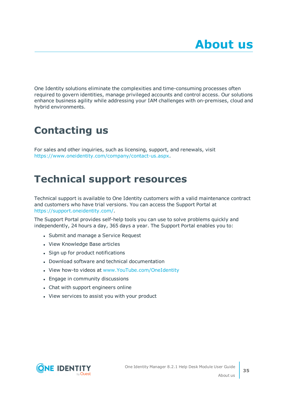<span id="page-34-0"></span>One Identity solutions eliminate the complexities and time-consuming processes often required to govern identities, manage privileged accounts and control access. Our solutions enhance business agility while addressing your IAM challenges with on-premises, cloud and hybrid environments.

# <span id="page-34-1"></span>**Contacting us**

For sales and other inquiries, such as licensing, support, and renewals, visit <https://www.oneidentity.com/company/contact-us.aspx>.

# <span id="page-34-2"></span>**Technical support resources**

Technical support is available to One Identity customers with a valid maintenance contract and customers who have trial versions. You can access the Support Portal at [https://support.oneidentity.com/.](https://support.oneidentity.com/)

The Support Portal provides self-help tools you can use to solve problems quickly and independently, 24 hours a day, 365 days a year. The Support Portal enables you to:

- Submit and manage a Service Request
- View Knowledge Base articles
- Sign up for product notifications
- Download software and technical documentation
- View how-to videos at [www.YouTube.com/OneIdentity](http://www.youtube.com/OneIdentity)
- Engage in community discussions
- Chat with support engineers online
- View services to assist you with your product